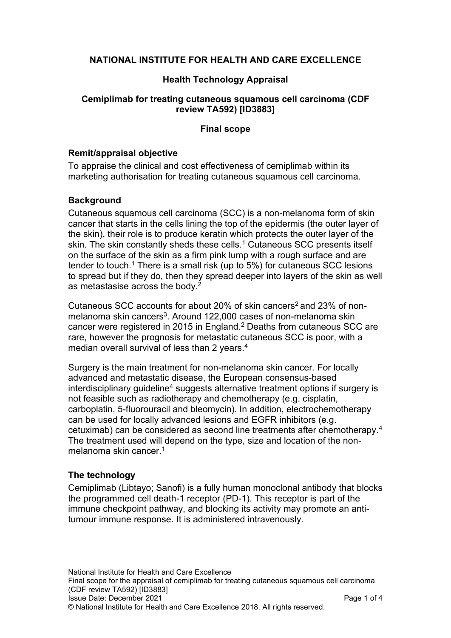# **NATIONAL INSTITUTE FOR HEALTH AND CARE EXCELLENCE**

## **Health Technology Appraisal**

### **Cemiplimab for treating cutaneous squamous cell carcinoma (CDF review TA592) [ID3883]**

### **Final scope**

#### **Remit/appraisal objective**

To appraise the clinical and cost effectiveness of cemiplimab within its marketing authorisation for treating cutaneous squamous cell carcinoma.

### **Background**

Cutaneous squamous cell carcinoma (SCC) is a non-melanoma form of skin cancer that starts in the cells lining the top of the epidermis (the outer layer of the skin), their role is to produce keratin which protects the outer layer of the skin. The skin constantly sheds these cells.<sup>1</sup> Cutaneous SCC presents itself on the surface of the skin as a firm pink lump with a rough surface and are tender to touch.<sup>1</sup> There is a small risk (up to 5%) for cutaneous SCC lesions to spread but if they do, then they spread deeper into layers of the skin as well as metastasise across the body.<sup>2</sup>

Cutaneous SCC accounts for about 20% of skin cancers<sup>2</sup> and 23% of nonmelanoma skin cancers<sup>3</sup>. Around 122,000 cases of non-melanoma skin cancer were registered in 2015 in England. <sup>2</sup> Deaths from cutaneous SCC are rare, however the prognosis for metastatic cutaneous SCC is poor, with a median overall survival of less than 2 years.<sup>4</sup>

Surgery is the main treatment for non-melanoma skin cancer. For locally advanced and metastatic disease, the European consensus-based  $interdisciplinary quideline<sup>4</sup> suggests alternative treatment options if surgery is$ not feasible such as radiotherapy and chemotherapy (e.g. cisplatin, carboplatin, 5-fluorouracil and bleomycin). In addition, electrochemotherapy can be used for locally advanced lesions and EGFR inhibitors (e.g. cetuximab) can be considered as second line treatments after chemotherapy.<sup>4</sup> The treatment used will depend on the type, size and location of the nonmelanoma skin cancer.<sup>1</sup>

### **The technology**

Cemiplimab (Libtayo; Sanofi) is a fully human monoclonal antibody that blocks the programmed cell death-1 receptor (PD-1). This receptor is part of the immune checkpoint pathway, and blocking its activity may promote an antitumour immune response. It is administered intravenously.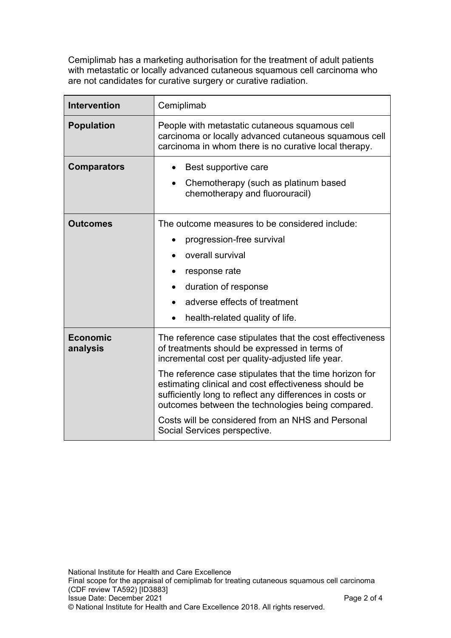Cemiplimab has a marketing authorisation for the treatment of adult patients with metastatic or locally advanced cutaneous squamous cell carcinoma who are not candidates for curative surgery or curative radiation.

| <b>Intervention</b>         | Cemiplimab                                                                                                                                                                                                                                                                                                                                                                                                                                                                              |
|-----------------------------|-----------------------------------------------------------------------------------------------------------------------------------------------------------------------------------------------------------------------------------------------------------------------------------------------------------------------------------------------------------------------------------------------------------------------------------------------------------------------------------------|
| <b>Population</b>           | People with metastatic cutaneous squamous cell<br>carcinoma or locally advanced cutaneous squamous cell<br>carcinoma in whom there is no curative local therapy.                                                                                                                                                                                                                                                                                                                        |
| <b>Comparators</b>          | Best supportive care<br>$\bullet$<br>Chemotherapy (such as platinum based<br>chemotherapy and fluorouracil)                                                                                                                                                                                                                                                                                                                                                                             |
| <b>Outcomes</b>             | The outcome measures to be considered include:<br>progression-free survival<br>overall survival<br>response rate<br>duration of response<br>adverse effects of treatment<br>health-related quality of life.                                                                                                                                                                                                                                                                             |
| <b>Economic</b><br>analysis | The reference case stipulates that the cost effectiveness<br>of treatments should be expressed in terms of<br>incremental cost per quality-adjusted life year.<br>The reference case stipulates that the time horizon for<br>estimating clinical and cost effectiveness should be<br>sufficiently long to reflect any differences in costs or<br>outcomes between the technologies being compared.<br>Costs will be considered from an NHS and Personal<br>Social Services perspective. |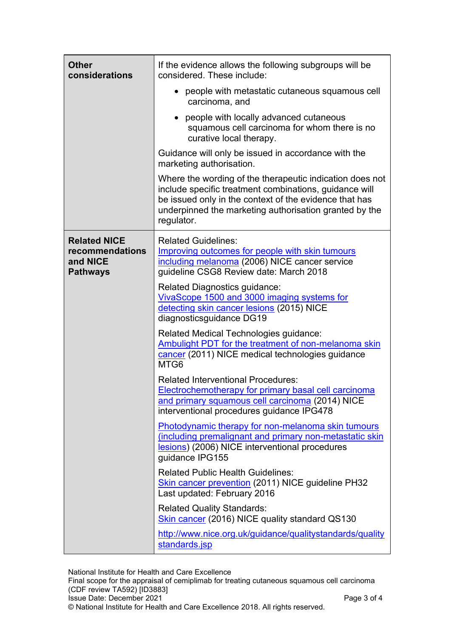| <b>Other</b><br>considerations                                        | If the evidence allows the following subgroups will be<br>considered. These include:                                                                                                                                                                 |
|-----------------------------------------------------------------------|------------------------------------------------------------------------------------------------------------------------------------------------------------------------------------------------------------------------------------------------------|
|                                                                       | people with metastatic cutaneous squamous cell<br>carcinoma, and                                                                                                                                                                                     |
|                                                                       | people with locally advanced cutaneous<br>squamous cell carcinoma for whom there is no<br>curative local therapy.                                                                                                                                    |
|                                                                       | Guidance will only be issued in accordance with the<br>marketing authorisation.                                                                                                                                                                      |
|                                                                       | Where the wording of the therapeutic indication does not<br>include specific treatment combinations, guidance will<br>be issued only in the context of the evidence that has<br>underpinned the marketing authorisation granted by the<br>regulator. |
| <b>Related NICE</b><br>recommendations<br>and NICE<br><b>Pathways</b> | <b>Related Guidelines:</b><br>Improving outcomes for people with skin tumours<br>including melanoma (2006) NICE cancer service<br>guideline CSG8 Review date: March 2018                                                                             |
|                                                                       | <b>Related Diagnostics guidance:</b><br>VivaScope 1500 and 3000 imaging systems for<br>detecting skin cancer lesions (2015) NICE<br>diagnosticsguidance DG19                                                                                         |
|                                                                       | Related Medical Technologies guidance:<br>Ambulight PDT for the treatment of non-melanoma skin<br>cancer (2011) NICE medical technologies guidance<br>MTG6                                                                                           |
|                                                                       | <b>Related Interventional Procedures:</b><br><b>Electrochemotherapy for primary basal cell carcinoma</b><br>and primary squamous cell carcinoma (2014) NICE<br>interventional procedures guidance IPG478                                             |
|                                                                       | Photodynamic therapy for non-melanoma skin tumours<br>(including premalignant and primary non-metastatic skin<br>lesions) (2006) NICE interventional procedures<br>quidance IPG155                                                                   |
|                                                                       | <b>Related Public Health Guidelines:</b><br>Skin cancer prevention (2011) NICE guideline PH32<br>Last updated: February 2016                                                                                                                         |
|                                                                       | <b>Related Quality Standards:</b><br>Skin cancer (2016) NICE quality standard QS130                                                                                                                                                                  |
|                                                                       | http://www.nice.org.uk/guidance/qualitystandards/quality<br>standards.jsp                                                                                                                                                                            |

National Institute for Health and Care Excellence